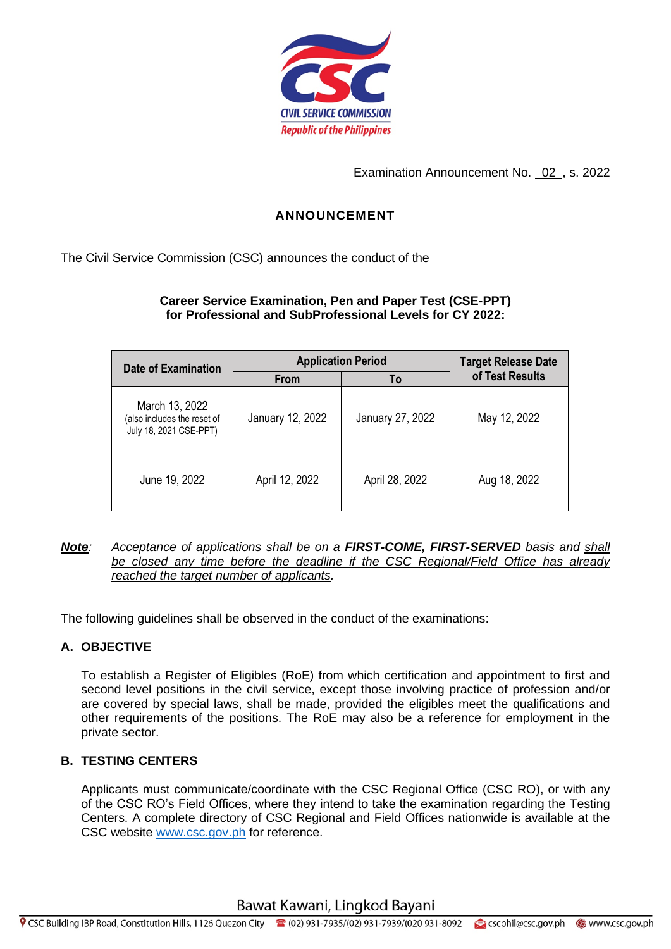

Examination Announcement No. 02 , s. 2022

# **ANNOUNCEMENT**

The Civil Service Commission (CSC) announces the conduct of the

## **Career Service Examination, Pen and Paper Test (CSE-PPT) for Professional and SubProfessional Levels for CY 2022:**

| Date of Examination                                                     | <b>Application Period</b> |                  | <b>Target Release Date</b> |
|-------------------------------------------------------------------------|---------------------------|------------------|----------------------------|
|                                                                         | From                      | To               | of Test Results            |
| March 13, 2022<br>(also includes the reset of<br>July 18, 2021 CSE-PPT) | January 12, 2022          | January 27, 2022 | May 12, 2022               |
| June 19, 2022                                                           | April 12, 2022            | April 28, 2022   | Aug 18, 2022               |

#### *Note: Acceptance of applications shall be on a FIRST-COME, FIRST-SERVED basis and shall be closed any time before the deadline if the CSC Regional/Field Office has already reached the target number of applicants.*

The following guidelines shall be observed in the conduct of the examinations:

# **A. OBJECTIVE**

To establish a Register of Eligibles (RoE) from which certification and appointment to first and second level positions in the civil service, except those involving practice of profession and/or are covered by special laws, shall be made, provided the eligibles meet the qualifications and other requirements of the positions. The RoE may also be a reference for employment in the private sector.

# **B. TESTING CENTERS**

Applicants must communicate/coordinate with the CSC Regional Office (CSC RO), or with any of the CSC RO's Field Offices, where they intend to take the examination regarding the Testing Centers. A complete directory of CSC Regional and Field Offices nationwide is available at the CSC website [www.csc.gov.ph](http://www.csc.gov.ph/) for reference.

Bawat Kawani, Lingkod Bayani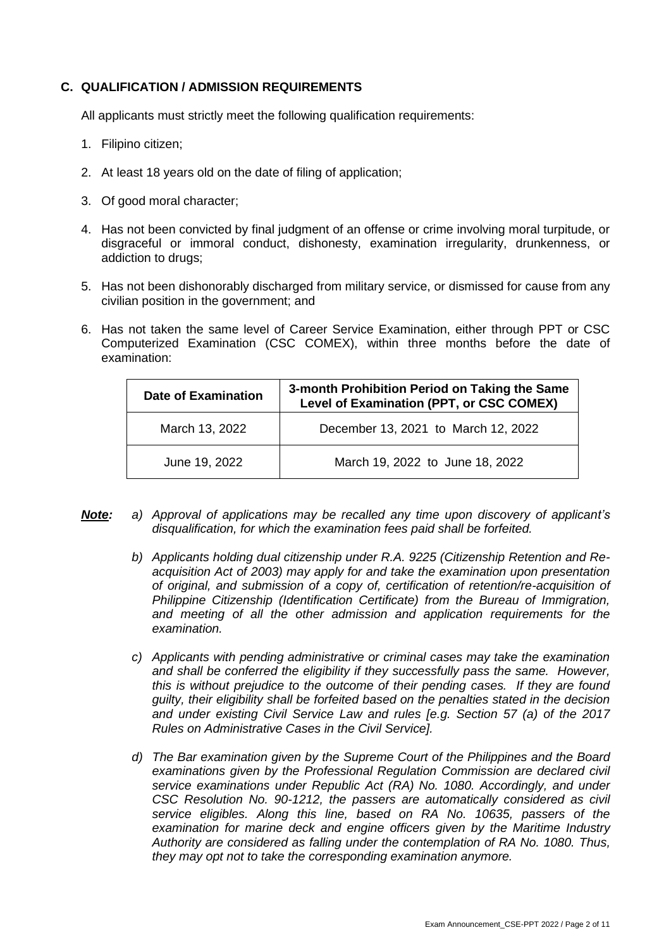## **C. QUALIFICATION / ADMISSION REQUIREMENTS**

All applicants must strictly meet the following qualification requirements:

- 1. Filipino citizen;
- 2. At least 18 years old on the date of filing of application;
- 3. Of good moral character;
- 4. Has not been convicted by final judgment of an offense or crime involving moral turpitude, or disgraceful or immoral conduct, dishonesty, examination irregularity, drunkenness, or addiction to drugs;
- 5. Has not been dishonorably discharged from military service, or dismissed for cause from any civilian position in the government; and
- 6. Has not taken the same level of Career Service Examination, either through PPT or CSC Computerized Examination (CSC COMEX), within three months before the date of examination:

| <b>Date of Examination</b> | 3-month Prohibition Period on Taking the Same<br>Level of Examination (PPT, or CSC COMEX) |  |
|----------------------------|-------------------------------------------------------------------------------------------|--|
| March 13, 2022             | December 13, 2021 to March 12, 2022                                                       |  |
| June 19, 2022              | March 19, 2022 to June 18, 2022                                                           |  |

- *Note: a) Approval of applications may be recalled any time upon discovery of applicant's disqualification, for which the examination fees paid shall be forfeited.*
	- *b) Applicants holding dual citizenship under R.A. 9225 (Citizenship Retention and Reacquisition Act of 2003) may apply for and take the examination upon presentation of original, and submission of a copy of, certification of retention/re-acquisition of Philippine Citizenship (Identification Certificate) from the Bureau of Immigration, and meeting of all the other admission and application requirements for the examination.*
	- *c) Applicants with pending administrative or criminal cases may take the examination and shall be conferred the eligibility if they successfully pass the same. However, this is without prejudice to the outcome of their pending cases. If they are found guilty, their eligibility shall be forfeited based on the penalties stated in the decision and under existing Civil Service Law and rules [e.g. Section 57 (a) of the 2017 Rules on Administrative Cases in the Civil Service].*
	- *d) The Bar examination given by the Supreme Court of the Philippines and the Board examinations given by the Professional Regulation Commission are declared civil service examinations under Republic Act (RA) No. 1080. Accordingly, and under CSC Resolution No. 90-1212, the passers are automatically considered as civil service eligibles. Along this line, based on RA No. 10635, passers of the examination for marine deck and engine officers given by the Maritime Industry Authority are considered as falling under the contemplation of RA No. 1080. Thus, they may opt not to take the corresponding examination anymore.*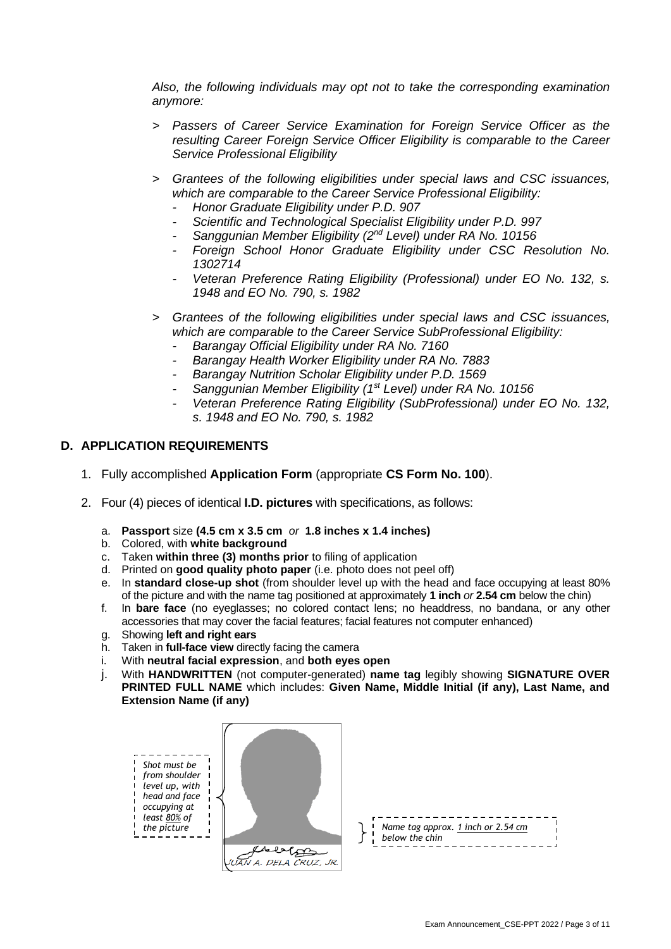*Also, the following individuals may opt not to take the corresponding examination anymore:* 

- *> Passers of Career Service Examination for Foreign Service Officer as the resulting Career Foreign Service Officer Eligibility is comparable to the Career Service Professional Eligibility*
- *> Grantees of the following eligibilities under special laws and CSC issuances, which are comparable to the Career Service Professional Eligibility:* 
	- *- Honor Graduate Eligibility under P.D. 907*
	- *- Scientific and Technological Specialist Eligibility under P.D. 997*
	- *- Sanggunian Member Eligibility (2nd Level) under RA No. 10156*
	- *- Foreign School Honor Graduate Eligibility under CSC Resolution No. 1302714*
	- *- Veteran Preference Rating Eligibility (Professional) under EO No. 132, s. 1948 and EO No. 790, s. 1982*
- *> Grantees of the following eligibilities under special laws and CSC issuances, which are comparable to the Career Service SubProfessional Eligibility:* 
	- *- Barangay Official Eligibility under RA No. 7160*
	- *- Barangay Health Worker Eligibility under RA No. 7883*
	- *- Barangay Nutrition Scholar Eligibility under P.D. 1569*
	- *- Sanggunian Member Eligibility (1st Level) under RA No. 10156*
	- *- Veteran Preference Rating Eligibility (SubProfessional) under EO No. 132, s. 1948 and EO No. 790, s. 1982*

## **D. APPLICATION REQUIREMENTS**

- 1. Fully accomplished **Application Form** (appropriate **CS Form No. 100**).
- 2. Four (4) pieces of identical **I.D. pictures** with specifications, as follows:
	- a. **Passport** size **(4.5 cm x 3.5 cm** *or* **1.8 inches x 1.4 inches)**
	- b. Colored, with **white background**
	- c. Taken **within three (3) months prior** to filing of application
	- d. Printed on **good quality photo paper** (i.e. photo does not peel off)
	- e. In **standard close-up shot** (from shoulder level up with the head and face occupying at least 80% of the picture and with the name tag positioned at approximately **1 inch** *or* **2.54 cm** below the chin)
	- f. In **bare face** (no eyeglasses; no colored contact lens; no headdress, no bandana, or any other accessories that may cover the facial features; facial features not computer enhanced)
	- g. Showing **left and right ears**
	- h. Taken in **full-face view** directly facing the camera
	- i. With **neutral facial expression**, and **both eyes open**
	- j. With **HANDWRITTEN** (not computer-generated) **name tag** legibly showing **SIGNATURE OVER PRINTED FULL NAME** which includes: **Given Name, Middle Initial (if any), Last Name, and Extension Name (if any)**



|  | $\int_{-1}^{1}$ Name tag approx. <u>1 inch or 2.54 cm</u><br>$\int_{-1}^{1}$ below the chin |  |
|--|---------------------------------------------------------------------------------------------|--|
|  |                                                                                             |  |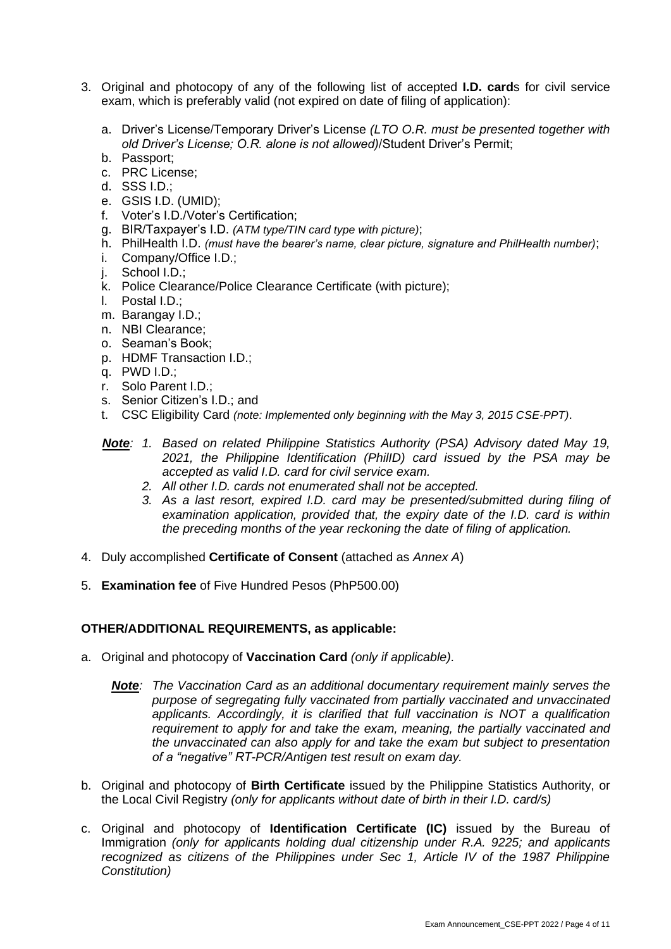- 3. Original and photocopy of any of the following list of accepted **I.D. card**s for civil service exam, which is preferably valid (not expired on date of filing of application):
	- a. Driver's License/Temporary Driver's License *(LTO O.R. must be presented together with old Driver's License; O.R. alone is not allowed)*/Student Driver's Permit;
	- b. Passport;
	- c. PRC License;
	- d. SSS I.D.;
	- e. GSIS I.D. (UMID);
	- f. Voter's I.D./Voter's Certification;
	- g. BIR/Taxpayer's I.D. *(ATM type/TIN card type with picture)*;
	- h. PhilHealth I.D. *(must have the bearer's name, clear picture, signature and PhilHealth number)*;
	- i. Company/Office I.D.;
	- j. School I.D.;
	- k. Police Clearance/Police Clearance Certificate (with picture);
	- l. Postal I.D.;
	- m. Barangay I.D.;
	- n. NBI Clearance;
	- o. Seaman's Book;
	- p. HDMF Transaction I.D.;
	- q. PWD I.D.;
	- r. Solo Parent I.D.;
	- s. Senior Citizen's I.D.; and
	- t. CSC Eligibility Card *(note: Implemented only beginning with the May 3, 2015 CSE-PPT)*.
	- *Note: 1. Based on related Philippine Statistics Authority (PSA) Advisory dated May 19, 2021, the Philippine Identification (PhilID) card issued by the PSA may be accepted as valid I.D. card for civil service exam.*
		- *2. All other I.D. cards not enumerated shall not be accepted.*
		- *3. As a last resort, expired I.D. card may be presented/submitted during filing of examination application, provided that, the expiry date of the I.D. card is within the preceding months of the year reckoning the date of filing of application.*
- 4. Duly accomplished **Certificate of Consent** (attached as *Annex A*)
- 5. **Examination fee** of Five Hundred Pesos (PhP500.00)

## **OTHER/ADDITIONAL REQUIREMENTS, as applicable:**

- a. Original and photocopy of **Vaccination Card** *(only if applicable)*.
	- *Note: The Vaccination Card as an additional documentary requirement mainly serves the purpose of segregating fully vaccinated from partially vaccinated and unvaccinated applicants. Accordingly, it is clarified that full vaccination is NOT a qualification requirement to apply for and take the exam, meaning, the partially vaccinated and the unvaccinated can also apply for and take the exam but subject to presentation of a "negative" RT-PCR/Antigen test result on exam day.*
- b. Original and photocopy of **Birth Certificate** issued by the Philippine Statistics Authority, or the Local Civil Registry *(only for applicants without date of birth in their I.D. card/s)*
- c. Original and photocopy of **Identification Certificate (IC)** issued by the Bureau of Immigration *(only for applicants holding dual citizenship under R.A. 9225; and applicants recognized as citizens of the Philippines under Sec 1, Article IV of the 1987 Philippine Constitution)*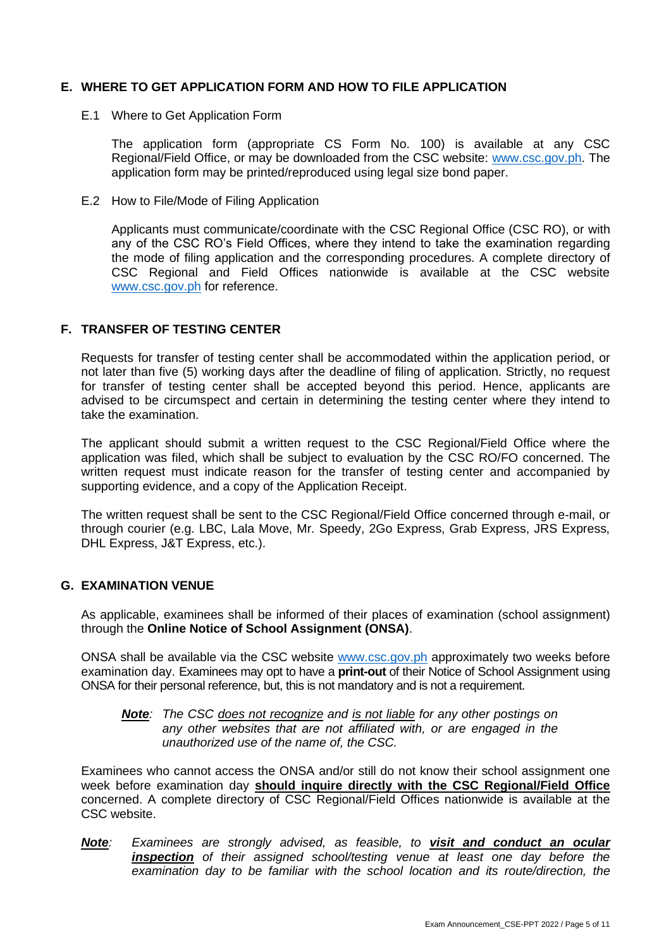## **E. WHERE TO GET APPLICATION FORM AND HOW TO FILE APPLICATION**

E.1 Where to Get Application Form

The application form (appropriate CS Form No. 100) is available at any CSC Regional/Field Office, or may be downloaded from the CSC website: [www.csc.gov.ph.](http://www.csc.gov.ph/) The application form may be printed/reproduced using legal size bond paper.

E.2 How to File/Mode of Filing Application

Applicants must communicate/coordinate with the CSC Regional Office (CSC RO), or with any of the CSC RO's Field Offices, where they intend to take the examination regarding the mode of filing application and the corresponding procedures. A complete directory of CSC Regional and Field Offices nationwide is available at the CSC website [www.csc.gov.ph](http://www.csc.gov.ph/) for reference.

#### **F. TRANSFER OF TESTING CENTER**

Requests for transfer of testing center shall be accommodated within the application period, or not later than five (5) working days after the deadline of filing of application. Strictly, no request for transfer of testing center shall be accepted beyond this period. Hence, applicants are advised to be circumspect and certain in determining the testing center where they intend to take the examination.

The applicant should submit a written request to the CSC Regional/Field Office where the application was filed, which shall be subject to evaluation by the CSC RO/FO concerned. The written request must indicate reason for the transfer of testing center and accompanied by supporting evidence, and a copy of the Application Receipt.

The written request shall be sent to the CSC Regional/Field Office concerned through e-mail, or through courier (e.g. LBC, Lala Move, Mr. Speedy, 2Go Express, Grab Express, JRS Express, DHL Express, J&T Express, etc.).

#### **G. EXAMINATION VENUE**

As applicable, examinees shall be informed of their places of examination (school assignment) through the **Online Notice of School Assignment (ONSA)**.

ONSA shall be available via the CSC website [www.csc.gov.ph](http://www.csc.gov.ph/) approximately two weeks before examination day. Examinees may opt to have a **print-out** of their Notice of School Assignment using ONSA for their personal reference, but, this is not mandatory and is not a requirement.

*Note: The CSC does not recognize and is not liable for any other postings on any other websites that are not affiliated with, or are engaged in the unauthorized use of the name of, the CSC.*

Examinees who cannot access the ONSA and/or still do not know their school assignment one week before examination day **should inquire directly with the CSC Regional/Field Office** concerned. A complete directory of CSC Regional/Field Offices nationwide is available at the CSC website.

*Note: Examinees are strongly advised, as feasible, to visit and conduct an ocular inspection of their assigned school/testing venue at least one day before the examination day to be familiar with the school location and its route/direction, the*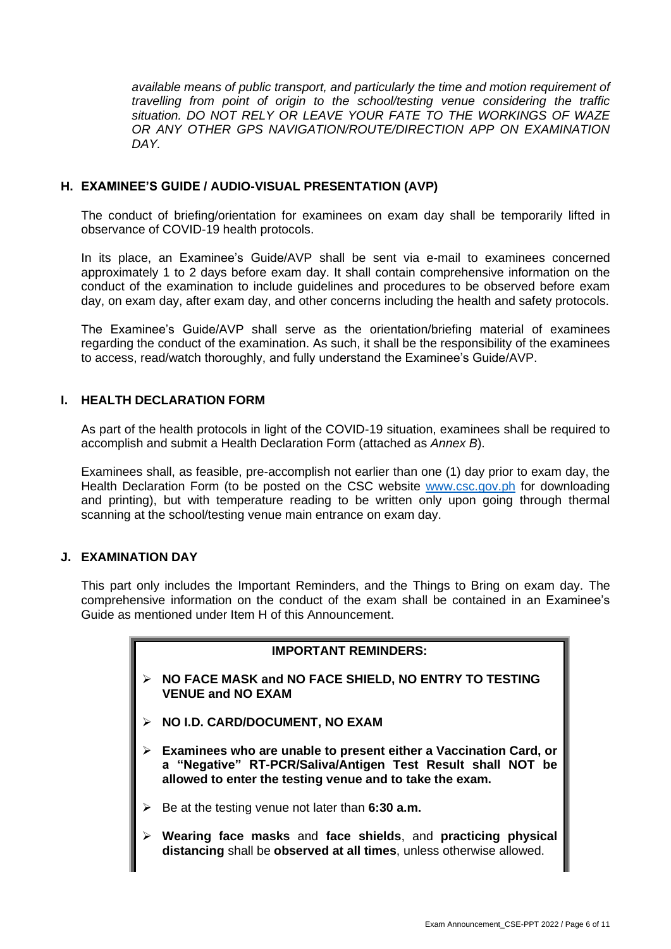*available means of public transport, and particularly the time and motion requirement of travelling from point of origin to the school/testing venue considering the traffic situation. DO NOT RELY OR LEAVE YOUR FATE TO THE WORKINGS OF WAZE OR ANY OTHER GPS NAVIGATION/ROUTE/DIRECTION APP ON EXAMINATION DAY.*

## **H. EXAMINEE'S GUIDE / AUDIO-VISUAL PRESENTATION (AVP)**

The conduct of briefing/orientation for examinees on exam day shall be temporarily lifted in observance of COVID-19 health protocols.

In its place, an Examinee's Guide/AVP shall be sent via e-mail to examinees concerned approximately 1 to 2 days before exam day. It shall contain comprehensive information on the conduct of the examination to include guidelines and procedures to be observed before exam day, on exam day, after exam day, and other concerns including the health and safety protocols.

The Examinee's Guide/AVP shall serve as the orientation/briefing material of examinees regarding the conduct of the examination. As such, it shall be the responsibility of the examinees to access, read/watch thoroughly, and fully understand the Examinee's Guide/AVP.

## **I. HEALTH DECLARATION FORM**

As part of the health protocols in light of the COVID-19 situation, examinees shall be required to accomplish and submit a Health Declaration Form (attached as *Annex B*).

Examinees shall, as feasible, pre-accomplish not earlier than one (1) day prior to exam day, the Health Declaration Form (to be posted on the CSC website [www.csc.gov.ph](http://www.csc.gov.ph/) for downloading and printing), but with temperature reading to be written only upon going through thermal scanning at the school/testing venue main entrance on exam day.

## **J. EXAMINATION DAY**

This part only includes the Important Reminders, and the Things to Bring on exam day. The comprehensive information on the conduct of the exam shall be contained in an Examinee's Guide as mentioned under Item H of this Announcement.

#### **IMPORTANT REMINDERS:**

- ➢ **NO FACE MASK and NO FACE SHIELD, NO ENTRY TO TESTING VENUE and NO EXAM**
- ➢ **NO I.D. CARD/DOCUMENT, NO EXAM**
- ➢ **Examinees who are unable to present either a Vaccination Card, or a "Negative" RT-PCR/Saliva/Antigen Test Result shall NOT be allowed to enter the testing venue and to take the exam.**
- ➢ Be at the testing venue not later than **6:30 a.m.**
- ➢ **Wearing face masks** and **face shields**, and **practicing physical distancing** shall be **observed at all times**, unless otherwise allowed.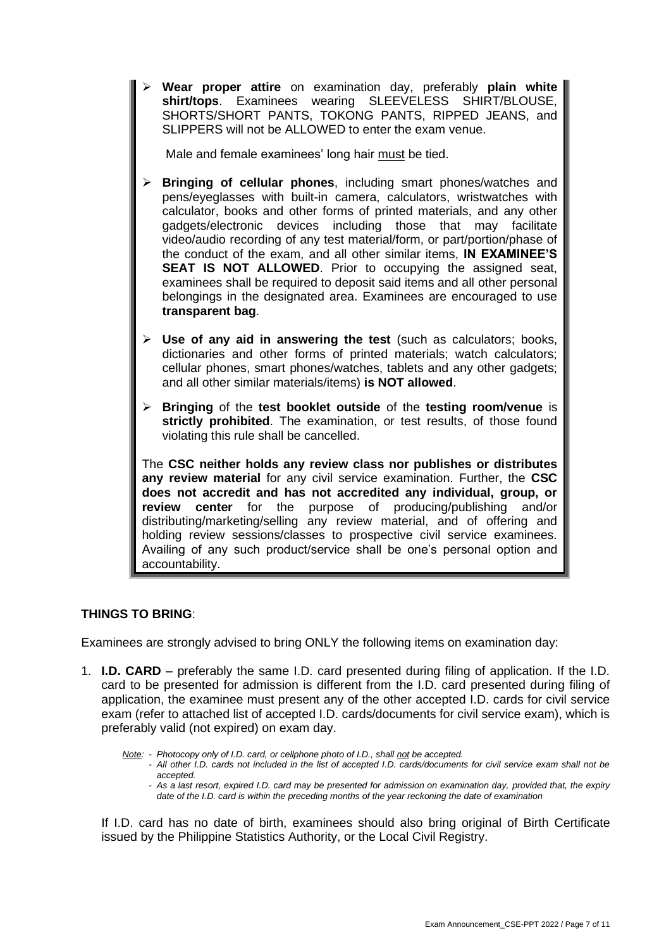➢ **Wear proper attire** on examination day, preferably **plain white shirt/tops**. Examinees wearing SLEEVELESS SHIRT/BLOUSE, SHORTS/SHORT PANTS, TOKONG PANTS, RIPPED JEANS, and SLIPPERS will not be ALLOWED to enter the exam venue.

Male and female examinees' long hair must be tied.

- **Bringing of cellular phones**, including smart phones/watches and pens/eyeglasses with built-in camera, calculators, wristwatches with calculator, books and other forms of printed materials, and any other gadgets/electronic devices including those that may facilitate video/audio recording of any test material/form, or part/portion/phase of the conduct of the exam, and all other similar items, **IN EXAMINEE'S SEAT IS NOT ALLOWED**. Prior to occupying the assigned seat, examinees shall be required to deposit said items and all other personal belongings in the designated area. Examinees are encouraged to use **transparent bag**.
- ➢ **Use of any aid in answering the test** (such as calculators; books, dictionaries and other forms of printed materials; watch calculators; cellular phones, smart phones/watches, tablets and any other gadgets; and all other similar materials/items) **is NOT allowed**.
- ➢ **Bringing** of the **test booklet outside** of the **testing room/venue** is **strictly prohibited**. The examination, or test results, of those found violating this rule shall be cancelled.

The **CSC neither holds any review class nor publishes or distributes any review material** for any civil service examination. Further, the **CSC does not accredit and has not accredited any individual, group, or review center** for the purpose of producing/publishing and/or distributing/marketing/selling any review material, and of offering and holding review sessions/classes to prospective civil service examinees. Availing of any such product/service shall be one's personal option and accountability.

## **THINGS TO BRING**:

Examinees are strongly advised to bring ONLY the following items on examination day:

1. **I.D. CARD** – preferably the same I.D. card presented during filing of application. If the I.D. card to be presented for admission is different from the I.D. card presented during filing of application, the examinee must present any of the other accepted I.D. cards for civil service exam (refer to attached list of accepted I.D. cards/documents for civil service exam), which is preferably valid (not expired) on exam day.

*Note: - Photocopy only of I.D. card, or cellphone photo of I.D., shall not be accepted.*

- *- All other I.D. cards not included in the list of accepted I.D. cards/documents for civil service exam shall not be accepted.*
- *- As a last resort, expired I.D. card may be presented for admission on examination day, provided that, the expiry date of the I.D. card is within the preceding months of the year reckoning the date of examination*

If I.D. card has no date of birth, examinees should also bring original of Birth Certificate issued by the Philippine Statistics Authority, or the Local Civil Registry.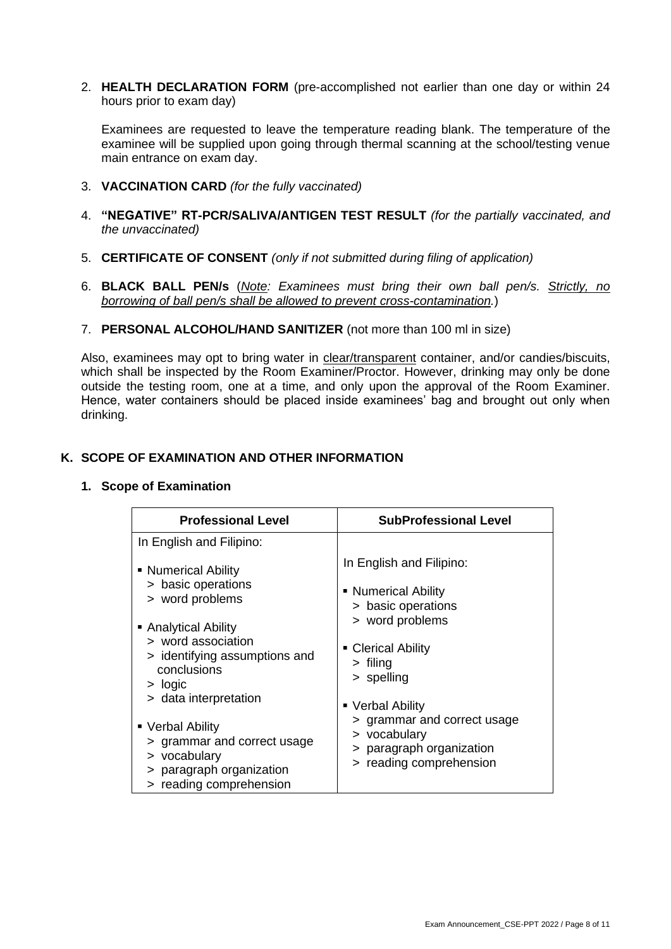2. **HEALTH DECLARATION FORM** (pre-accomplished not earlier than one day or within 24 hours prior to exam day)

Examinees are requested to leave the temperature reading blank. The temperature of the examinee will be supplied upon going through thermal scanning at the school/testing venue main entrance on exam day.

- 3. **VACCINATION CARD** *(for the fully vaccinated)*
- 4. **"NEGATIVE" RT-PCR/SALIVA/ANTIGEN TEST RESULT** *(for the partially vaccinated, and the unvaccinated)*
- 5. **CERTIFICATE OF CONSENT** *(only if not submitted during filing of application)*
- 6. **BLACK BALL PEN/s** (*Note: Examinees must bring their own ball pen/s. Strictly, no borrowing of ball pen/s shall be allowed to prevent cross-contamination.*)
- 7. **PERSONAL ALCOHOL/HAND SANITIZER** (not more than 100 ml in size)

Also, examinees may opt to bring water in clear/transparent container, and/or candies/biscuits, which shall be inspected by the Room Examiner/Proctor. However, drinking may only be done outside the testing room, one at a time, and only upon the approval of the Room Examiner. Hence, water containers should be placed inside examinees' bag and brought out only when drinking.

#### **K. SCOPE OF EXAMINATION AND OTHER INFORMATION**

#### **1. Scope of Examination**

| <b>Professional Level</b>                                                                                                                                                                                            | <b>SubProfessional Level</b>                                                                                                                                                                  |  |
|----------------------------------------------------------------------------------------------------------------------------------------------------------------------------------------------------------------------|-----------------------------------------------------------------------------------------------------------------------------------------------------------------------------------------------|--|
| In English and Filipino:                                                                                                                                                                                             |                                                                                                                                                                                               |  |
| • Numerical Ability<br>> basic operations<br>> word problems<br>• Analytical Ability<br>> word association<br>> identifying assumptions and<br>conclusions<br>$>$ logic<br>> data interpretation<br>• Verbal Ability | In English and Filipino:<br>• Numerical Ability<br>> basic operations<br>> word problems<br>• Clerical Ability<br>$>$ filing<br>> spelling<br>• Verbal Ability<br>> grammar and correct usage |  |
| > grammar and correct usage<br>> vocabulary<br>> paragraph organization<br>> reading comprehension                                                                                                                   | > vocabulary<br>> paragraph organization<br>> reading comprehension                                                                                                                           |  |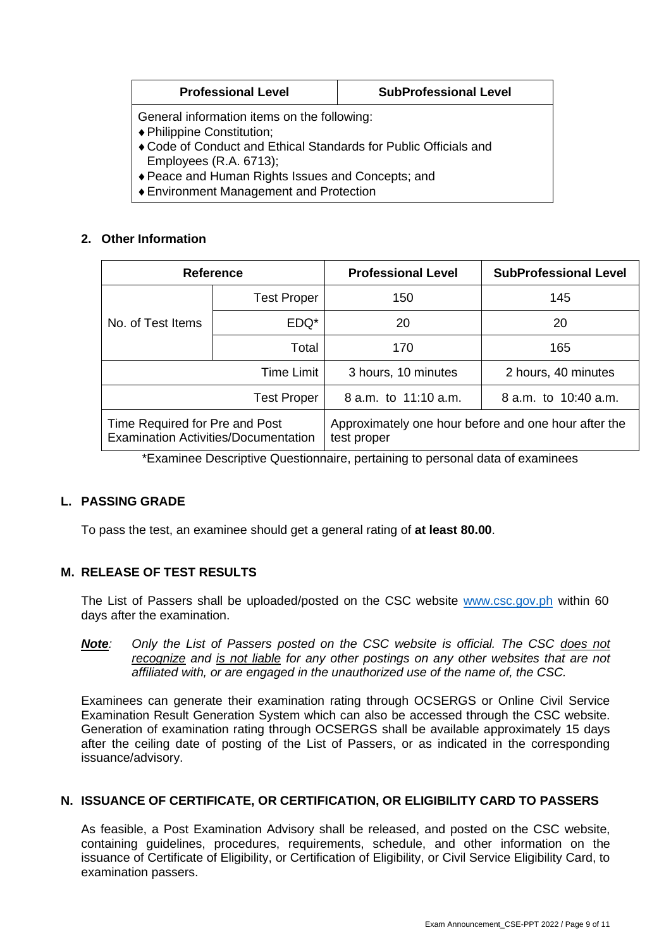| <b>Professional Level</b>                                                                                  | <b>SubProfessional Level</b> |  |
|------------------------------------------------------------------------------------------------------------|------------------------------|--|
| General information items on the following:<br>♦ Philippine Constitution;                                  |                              |  |
| ♦ Code of Conduct and Ethical Standards for Public Officials and<br>Employees $(R.A. 6713)$ ;              |                              |  |
| ♦ Peace and Human Rights Issues and Concepts; and<br>a Escalazzazione Messo spesso del controle del settem |                              |  |

Environment Management and Protection

## **2. Other Information**

| <b>Reference</b>                                                              |                    | <b>Professional Level</b>                                           | <b>SubProfessional Level</b> |
|-------------------------------------------------------------------------------|--------------------|---------------------------------------------------------------------|------------------------------|
|                                                                               | <b>Test Proper</b> | 150                                                                 | 145                          |
| No. of Test Items                                                             | EDQ*               | 20                                                                  | 20                           |
|                                                                               | Total              | 170                                                                 | 165                          |
| <b>Time Limit</b>                                                             |                    | 3 hours, 10 minutes                                                 | 2 hours, 40 minutes          |
| <b>Test Proper</b>                                                            |                    | 8 a.m. to 11:10 a.m.                                                | 8 a.m. to 10:40 a.m.         |
| Time Required for Pre and Post<br><b>Examination Activities/Documentation</b> |                    | Approximately one hour before and one hour after the<br>test proper |                              |

\*Examinee Descriptive Questionnaire, pertaining to personal data of examinees

## **L. PASSING GRADE**

To pass the test, an examinee should get a general rating of **at least 80.00**.

## **M. RELEASE OF TEST RESULTS**

The List of Passers shall be uploaded/posted on the CSC website [www.csc.gov.ph](http://www.csc.gov.ph/) within 60 days after the examination.

*Note: Only the List of Passers posted on the CSC website is official. The CSC does not recognize and is not liable for any other postings on any other websites that are not affiliated with, or are engaged in the unauthorized use of the name of, the CSC.*

Examinees can generate their examination rating through OCSERGS or Online Civil Service Examination Result Generation System which can also be accessed through the CSC website. Generation of examination rating through OCSERGS shall be available approximately 15 days after the ceiling date of posting of the List of Passers, or as indicated in the corresponding issuance/advisory.

## **N. ISSUANCE OF CERTIFICATE, OR CERTIFICATION, OR ELIGIBILITY CARD TO PASSERS**

As feasible, a Post Examination Advisory shall be released, and posted on the CSC website, containing guidelines, procedures, requirements, schedule, and other information on the issuance of Certificate of Eligibility, or Certification of Eligibility, or Civil Service Eligibility Card, to examination passers.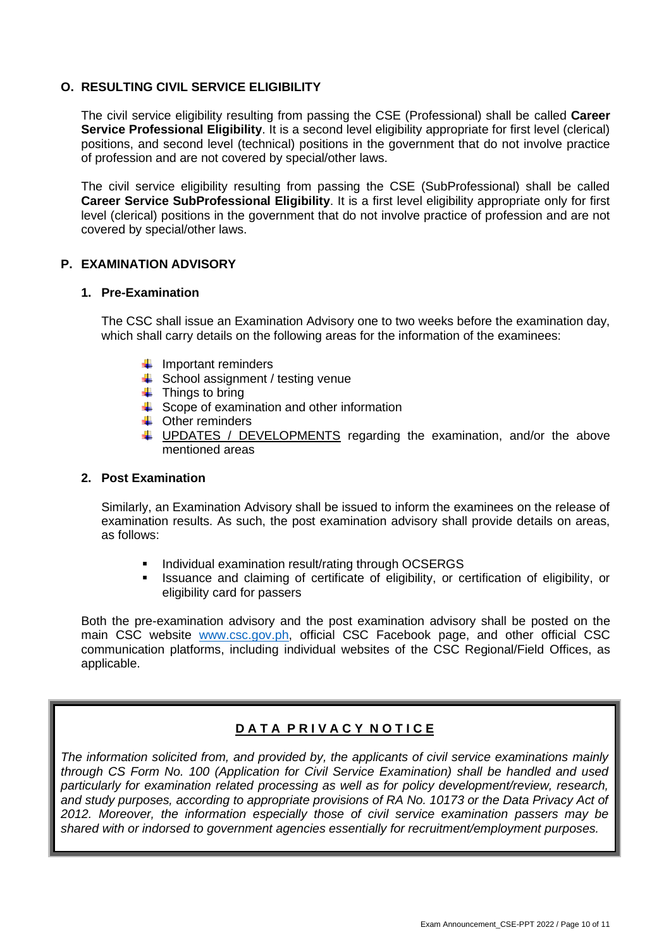#### **O. RESULTING CIVIL SERVICE ELIGIBILITY**

The civil service eligibility resulting from passing the CSE (Professional) shall be called **Career Service Professional Eligibility**. It is a second level eligibility appropriate for first level (clerical) positions, and second level (technical) positions in the government that do not involve practice of profession and are not covered by special/other laws.

The civil service eligibility resulting from passing the CSE (SubProfessional) shall be called **Career Service SubProfessional Eligibility**. It is a first level eligibility appropriate only for first level (clerical) positions in the government that do not involve practice of profession and are not covered by special/other laws.

#### **P. EXAMINATION ADVISORY**

#### **1. Pre-Examination**

The CSC shall issue an Examination Advisory one to two weeks before the examination day, which shall carry details on the following areas for the information of the examinees:

- $\downarrow$  Important reminders
- $\overline{\phantom{a}}$  School assignment / testing venue
- $\ddot{\bullet}$  Things to bring
- $\overline{\phantom{a}}$  Scope of examination and other information
- $\leftarrow$  Other reminders
- UPDATES / DEVELOPMENTS regarding the examination, and/or the above ۰. mentioned areas

#### **2. Post Examination**

Similarly, an Examination Advisory shall be issued to inform the examinees on the release of examination results. As such, the post examination advisory shall provide details on areas, as follows:

- Individual examination result/rating through OCSERGS
- Issuance and claiming of certificate of eligibility, or certification of eligibility, or eligibility card for passers

Both the pre-examination advisory and the post examination advisory shall be posted on the main CSC website [www.csc.gov.ph,](http://www.csc.gov.ph/) official CSC Facebook page, and other official CSC communication platforms, including individual websites of the CSC Regional/Field Offices, as applicable.

## **D A T A P R I V A C Y N O T I C E**

*The information solicited from, and provided by, the applicants of civil service examinations mainly through CS Form No. 100 (Application for Civil Service Examination) shall be handled and used particularly for examination related processing as well as for policy development/review, research, and study purposes, according to appropriate provisions of RA No. 10173 or the Data Privacy Act of 2012. Moreover, the information especially those of civil service examination passers may be shared with or indorsed to government agencies essentially for recruitment/employment purposes.*